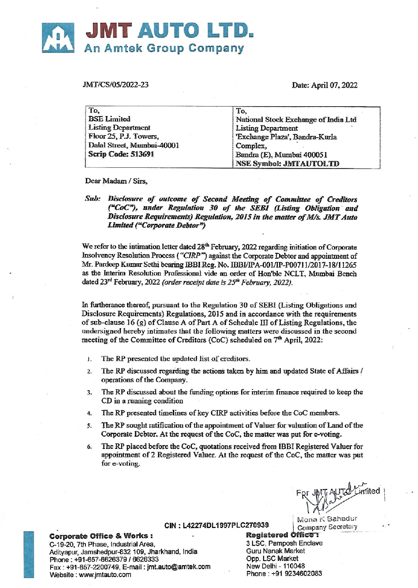# JMT AUTO LT An Amtek Group Company **JMT AUTO LT**<br>An Amtek Group Compai<br>MT/CS/05/2022-23

IMT/CS/05/2022-23

| JMT AUTO LTD.<br><b>An Amtek Group Company</b>                                                                                              |                                                                                                                                                                                      |
|---------------------------------------------------------------------------------------------------------------------------------------------|--------------------------------------------------------------------------------------------------------------------------------------------------------------------------------------|
| MT/CS/05/2022-23                                                                                                                            | Date: April 07, 2022                                                                                                                                                                 |
| To,<br><b>BSE Limited</b><br><b>Listing Department</b><br>Floor 25, P.J. Towers,<br>Dalal Street, Mumbai-40001<br><b>Scrip Code: 513691</b> | To.<br>National Stock Exchange of India Ltd<br><b>Listing Department</b><br>'Exchange Plaza', Bandra-Kurla<br>Complex,<br>Bandra (E), Mumbai 400051<br><b>NSE Symbol: JMTAUTOLTD</b> |

Dear Madam / Sirs.

Sab: Disclosure of outcome of Second Meeting of Committee of Creditors ("CoC"), under Regulation 30 of the SEBI (Listing Obligation and Disclosure Requirements) Regulation, 2015 in the matter of M/s. JMT Auto Limited ("Corporate Debtor")

We refer to the intimation letter dated 28<sup>th</sup> February, 2022 regarding initiation of Corporate Insolvency Resolution Process ("CIRP") against the Corporate Debtor and appointment of Mr. Pardeep Kumar Sethi bearing IBBI Reg. No. IBBVIPA-001/IP-P0071 1/2017-18/11265 as the Interim Resolution Professional vide an order of Hon'ble NCLT, Mumbai Bench dated 23<sup>rd</sup> February, 2022 (order receipt date is 25<sup>th</sup> February, 2022).

In furtherance thereof, pursuant to the Regulation 30 of SEBI (Listing Obligations and Disclosure Requirements) Regulations, 2015 and in accordance with the requirements of sub-clause 16 (g) of Clause A of Part A of Schedule Ii] of Listing Regulations, the undersigned hereby intimates that the following matters were discussed in the second meeting of the Committee of Creditors (CoC) scheduled on 7™ April, 2022:

- 1. The RP presented the updated list of creditors.
- 2. The RP discussed regarding the actions taken by him and updated State of Affairs / operations of the Company.
- The RP discussed about the funding options for imterim finance required to keep the CD in a running condition  $\overline{3}$ .
- 4, The RP presented timelines of key CIRP activities before the CoC members.
- The RP sought ratification of the appointment of Valuer for valuation of Land of the Corporate Debtor. At the request of the CoC, the matter was put for e-voting.  $5<sub>1</sub>$
- 6. The RP placed before the CoC, quotations received from IBBI Registered Valuer for appointment of 2 Registered Valuer. At the request of the CoC, the matter was put for e-voting.

For JMT AUTO Limited **RUMANT** 

| Mona < Bahadur CIN : L42274DL1997PLC270939 | Company Secretary<br> **Registered Office :** 

Corporate Office & Works: C-19-20, 7th Phase, Industrial Area, Sand Control of St. Sc. Pamposh Enclave

Adityapur, Jamshedpur-832 109, Jharkhand, India Guru Nanak Market<br>Phone: +91-657-6626379 / 6626333 Phone : +91-657-6626379 / 6626333 Opp. LSC Market<br>Fax : +91-657-2200749, E-mail : imt.auto@amtek.com New Delhi - 110048 Fax : +91-657-2200749, E-mail : jmt.auto@amtek.com New Delhi - 110048 Website : www.jmtauto.com